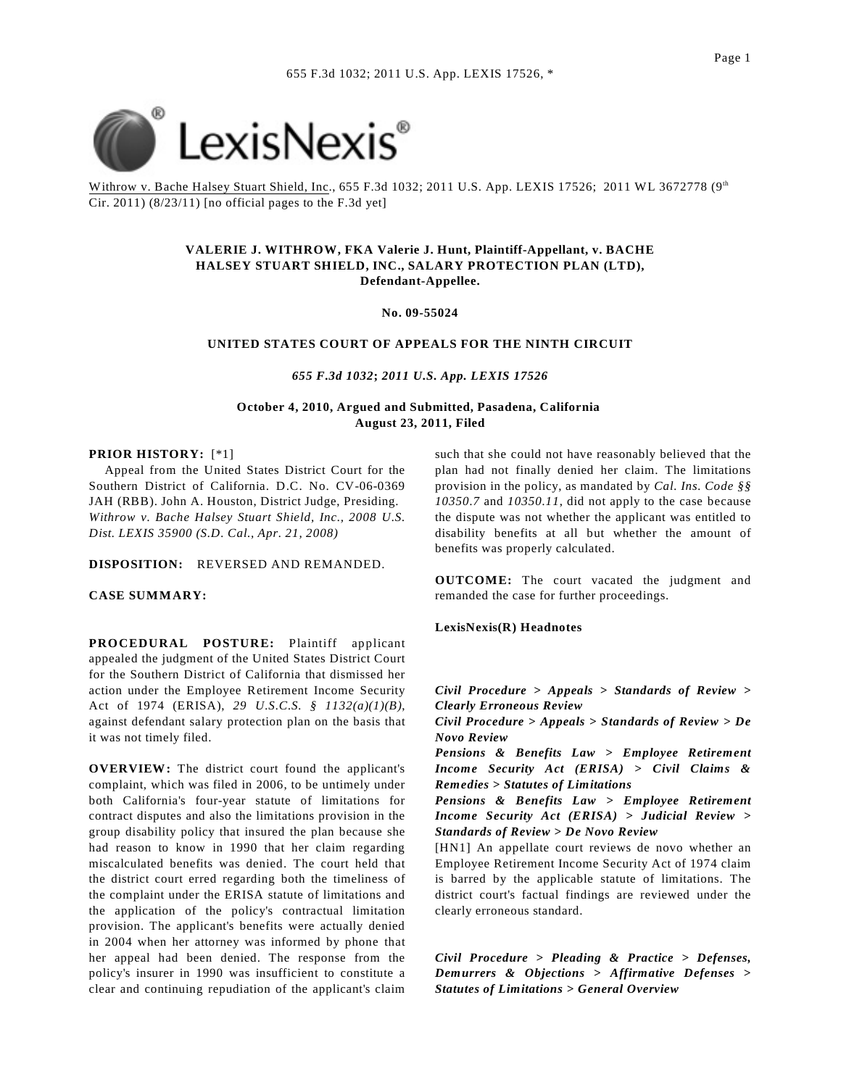

Withrow v. Bache Halsey Stuart Shield, Inc., 655 F.3d 1032; 2011 U.S. App. LEXIS 17526; 2011 WL 3672778 (9th Cir. 2011)  $(8/23/11)$  [no official pages to the F.3d yet]

## **VALERIE J. WITHROW, FKA Valerie J. Hunt, Plaintiff-Appellant, v. BACHE HALSEY STUART SHIELD, INC., SALARY PROTECTION PLAN (LTD), Defendant-Appellee.**

**No. 09-55024**

### **UNITED STATES COURT OF APPEALS FOR THE NINTH CIRCUIT**

*655 F.3d 1032***;** *2011 U.S. App. LEXIS 17526*

**October 4, 2010, Argued and Submitted, Pasadena, California August 23, 2011, Filed**

### **PRIOR HISTORY:** [\*1]

 Appeal from the United States District Court for the Southern District of California. D.C. No. CV-06-0369 JAH (RBB). John A. Houston, District Judge, Presiding. *Withrow v. Bache Halsey Stuart Shield, Inc., 2008 U.S. Dist. LEXIS 35900 (S.D. Cal., Apr. 21, 2008)*

**DISPOSITION:** REVERSED AND REMANDED.

**CASE SUMMARY:**

**PROCEDURAL POSTURE:** Plaintiff applicant appealed the judgment of the United States District Court for the Southern District of California that dismissed her action under the Employee Retirement Income Security Act of 1974 (ERISA), *29 U.S.C.S. § 1132(a)(1)(B)*, against defendant salary protection plan on the basis that it was not timely filed.

**OVERVIEW:** The district court found the applicant's complaint, which was filed in 2006, to be untimely under both California's four-year statute of limitations for contract disputes and also the limitations provision in the group disability policy that insured the plan because she had reason to know in 1990 that her claim regarding miscalculated benefits was denied. The court held that the district court erred regarding both the timeliness of the complaint under the ERISA statute of limitations and the application of the policy's contractual limitation provision. The applicant's benefits were actually denied in 2004 when her attorney was informed by phone that her appeal had been denied. The response from the policy's insurer in 1990 was insufficient to constitute a clear and continuing repudiation of the applicant's claim such that she could not have reasonably believed that the plan had not finally denied her claim. The limitations provision in the policy, as mandated by *Cal. Ins. Code §§ 10350.7* and *10350.11*, did not apply to the case because the dispute was not whether the applicant was entitled to disability benefits at all but whether the amount of benefits was properly calculated.

**OUTCOME:** The court vacated the judgment and remanded the case for further proceedings.

## **LexisNexis(R) Headnotes**

*Civil Procedure > Appeals > Standards of Review > Clearly Erroneous Review*

*Civil Procedure > Appeals > Standards of Review > De Novo Review*

*Pensions & Benefits Law > Employee Retirement Income Security Act (ERISA) > Civil Claims & Remedies > Statutes of Limitations*

*Pensions & Benefits Law > Employee Retirement Income Security Act (ERISA) > Judicial Review > Standards of Review > De Novo Review*

[HN1] An appellate court reviews de novo whether an Employee Retirement Income Security Act of 1974 claim is barred by the applicable statute of limitations. The district court's factual findings are reviewed under the clearly erroneous standard.

*Civil Procedure > Pleading & Practice > Defenses, Demurrers & Objections > Affirmative Defenses > Statutes of Limitations > General Overview*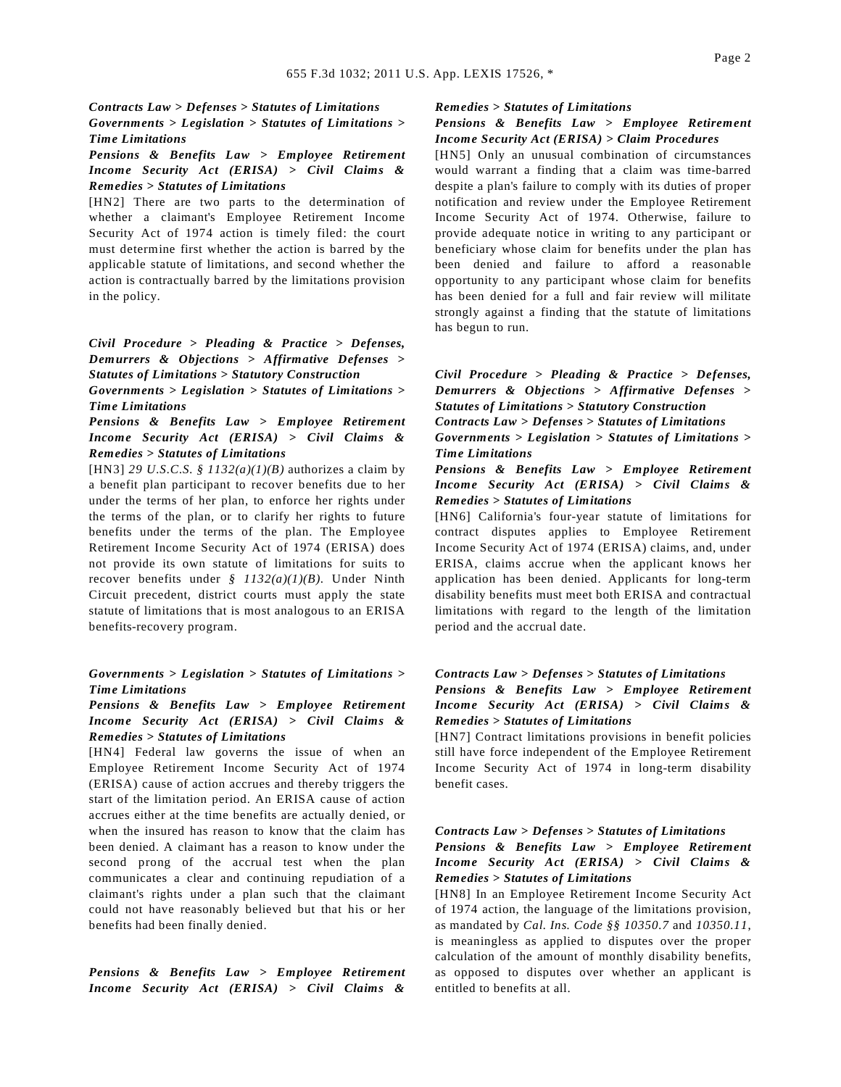#### *Contracts Law > Defenses > Statutes of Limitations*

*Governments > Legislation > Statutes of Limitations > Time Limitations*

# *Pensions & Benefits Law > Employee Retirement Income Security Act (ERISA) > Civil Claims & Remedies > Statutes of Limitations*

[HN2] There are two parts to the determination of whether a claimant's Employee Retirement Income Security Act of 1974 action is timely filed: the court must determine first whether the action is barred by the applicable statute of limitations, and second whether the action is contractually barred by the limitations provision in the policy.

*Civil Procedure > Pleading & Practice > Defenses, Demurrers & Objections > Affirmative Defenses > Statutes of Limitations > Statutory Construction*

*Governments > Legislation > Statutes of Limitations > Time Limitations*

*Pensions & Benefits Law > Employee Retirement Income Security Act (ERISA) > Civil Claims & Remedies > Statutes of Limitations*

[HN3] *29 U.S.C.S. § 1132(a)(1)(B)* authorizes a claim by a benefit plan participant to recover benefits due to her under the terms of her plan, to enforce her rights under the terms of the plan, or to clarify her rights to future benefits under the terms of the plan. The Employee Retirement Income Security Act of 1974 (ERISA) does not provide its own statute of limitations for suits to recover benefits under *§ 1132(a)(1)(B)*. Under Ninth Circuit precedent, district courts must apply the state statute of limitations that is most analogous to an ERISA benefits-recovery program.

## *Governments > Legislation > Statutes of Limitations > Time Limitations*

# *Pensions & Benefits Law > Employee Retirement Income Security Act (ERISA) > Civil Claims & Remedies > Statutes of Limitations*

[HN4] Federal law governs the issue of when an Employee Retirement Income Security Act of 1974 (ERISA) cause of action accrues and thereby triggers the start of the limitation period. An ERISA cause of action accrues either at the time benefits are actually denied, or when the insured has reason to know that the claim has been denied. A claimant has a reason to know under the second prong of the accrual test when the plan communicates a clear and continuing repudiation of a claimant's rights under a plan such that the claimant could not have reasonably believed but that his or her benefits had been finally denied.

*Pensions & Benefits Law > Employee Retirement Income Security Act (ERISA) > Civil Claims &*

#### *Remedies > Statutes of Limitations*

### *Pensions & Benefits Law > Employee Retirement Income Security Act (ERISA) > Claim Procedures*

[HN5] Only an unusual combination of circumstances would warrant a finding that a claim was time-barred despite a plan's failure to comply with its duties of proper notification and review under the Employee Retirement Income Security Act of 1974. Otherwise, failure to provide adequate notice in writing to any participant or beneficiary whose claim for benefits under the plan has been denied and failure to afford a reasonable opportunity to any participant whose claim for benefits has been denied for a full and fair review will militate strongly against a finding that the statute of limitations has begun to run.

*Civil Procedure > Pleading & Practice > Defenses, Demurrers & Objections > Affirmative Defenses > Statutes of Limitations > Statutory Construction*

*Contracts Law > Defenses > Statutes of Limitations Governments > Legislation > Statutes of Limitations > Time Limitations*

*Pensions & Benefits Law > Employee Retirement Income Security Act (ERISA) > Civil Claims & Remedies > Statutes of Limitations*

[HN6] California's four-year statute of limitations for contract disputes applies to Employee Retirement Income Security Act of 1974 (ERISA) claims, and, under ERISA, claims accrue when the applicant knows her application has been denied. Applicants for long-term disability benefits must meet both ERISA and contractual limitations with regard to the length of the limitation period and the accrual date.

# *Contracts Law > Defenses > Statutes of Limitations Pensions & Benefits Law > Employee Retirement Income Security Act (ERISA) > Civil Claims & Remedies > Statutes of Limitations*

[HN7] Contract limitations provisions in benefit policies still have force independent of the Employee Retirement Income Security Act of 1974 in long-term disability benefit cases.

#### *Contracts Law > Defenses > Statutes of Limitations*

# *Pensions & Benefits Law > Employee Retirement Income Security Act (ERISA) > Civil Claims & Remedies > Statutes of Limitations*

[HN8] In an Employee Retirement Income Security Act of 1974 action, the language of the limitations provision, as mandated by *Cal. Ins. Code §§ 10350.7* and *10350.11*, is meaningless as applied to disputes over the proper calculation of the amount of monthly disability benefits, as opposed to disputes over whether an applicant is entitled to benefits at all.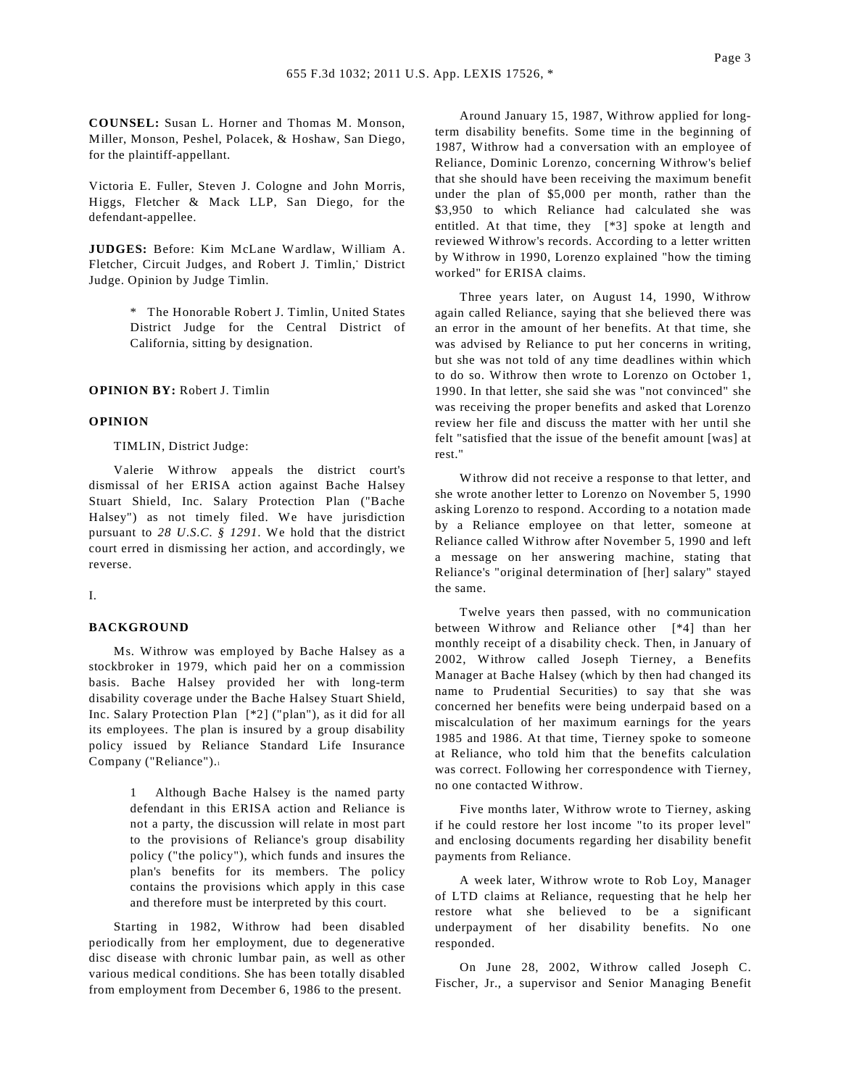**COUNSEL:** Susan L. Horner and Thomas M. Monson, Miller, Monson, Peshel, Polacek, & Hoshaw, San Diego, for the plaintiff-appellant.

Victoria E. Fuller, Steven J. Cologne and John Morris, Higgs, Fletcher & Mack LLP, San Diego, for the defendant-appellee.

**JUDGES:** Before: Kim McLane Wardlaw, William A. Fletcher, Circuit Judges, and Robert J. Timlin,\* District Judge. Opinion by Judge Timlin.

> \* The Honorable Robert J. Timlin, United States District Judge for the Central District of California, sitting by designation.

### **OPINION BY:** Robert J. Timlin

### **OPINION**

### TIMLIN, District Judge:

Valerie Withrow appeals the district court's dismissal of her ERISA action against Bache Halsey Stuart Shield, Inc. Salary Protection Plan ("Bache Halsey") as not timely filed. We have jurisdiction pursuant to *28 U.S.C. § 1291*. We hold that the district court erred in dismissing her action, and accordingly, we reverse.

#### I.

## **BACKGROUND**

Ms. Withrow was employed by Bache Halsey as a stockbroker in 1979, which paid her on a commission basis. Bache Halsey provided her with long-term disability coverage under the Bache Halsey Stuart Shield, Inc. Salary Protection Plan [\*2] ("plan"), as it did for all its employees. The plan is insured by a group disability policy issued by Reliance Standard Life Insurance Company ("Reliance").<sup>1</sup>

> 1 Although Bache Halsey is the named party defendant in this ERISA action and Reliance is not a party, the discussion will relate in most part to the provisions of Reliance's group disability policy ("the policy"), which funds and insures the plan's benefits for its members. The policy contains the provisions which apply in this case and therefore must be interpreted by this court.

Starting in 1982, Withrow had been disabled periodically from her employment, due to degenerative disc disease with chronic lumbar pain, as well as other various medical conditions. She has been totally disabled from employment from December 6, 1986 to the present.

Around January 15, 1987, Withrow applied for longterm disability benefits. Some time in the beginning of 1987, Withrow had a conversation with an employee of Reliance, Dominic Lorenzo, concerning Withrow's belief that she should have been receiving the maximum benefit under the plan of \$5,000 per month, rather than the \$3,950 to which Reliance had calculated she was entitled. At that time, they [\*3] spoke at length and reviewed Withrow's records. According to a letter written by Withrow in 1990, Lorenzo explained "how the timing worked" for ERISA claims.

Three years later, on August 14, 1990, Withrow again called Reliance, saying that she believed there was an error in the amount of her benefits. At that time, she was advised by Reliance to put her concerns in writing, but she was not told of any time deadlines within which to do so. Withrow then wrote to Lorenzo on October 1, 1990. In that letter, she said she was "not convinced" she was receiving the proper benefits and asked that Lorenzo review her file and discuss the matter with her until she felt "satisfied that the issue of the benefit amount [was] at rest."

Withrow did not receive a response to that letter, and she wrote another letter to Lorenzo on November 5, 1990 asking Lorenzo to respond. According to a notation made by a Reliance employee on that letter, someone at Reliance called Withrow after November 5, 1990 and left a message on her answering machine, stating that Reliance's "original determination of [her] salary" stayed the same.

Twelve years then passed, with no communication between Withrow and Reliance other [\*4] than her monthly receipt of a disability check. Then, in January of 2002, Withrow called Joseph Tierney, a Benefits Manager at Bache Halsey (which by then had changed its name to Prudential Securities) to say that she was concerned her benefits were being underpaid based on a miscalculation of her maximum earnings for the years 1985 and 1986. At that time, Tierney spoke to someone at Reliance, who told him that the benefits calculation was correct. Following her correspondence with Tierney, no one contacted Withrow.

Five months later, Withrow wrote to Tierney, asking if he could restore her lost income "to its proper level" and enclosing documents regarding her disability benefit payments from Reliance.

A week later, Withrow wrote to Rob Loy, Manager of LTD claims at Reliance, requesting that he help her restore what she believed to be a significant underpayment of her disability benefits. No one responded.

On June 28, 2002, Withrow called Joseph C. Fischer, Jr., a supervisor and Senior Managing Benefit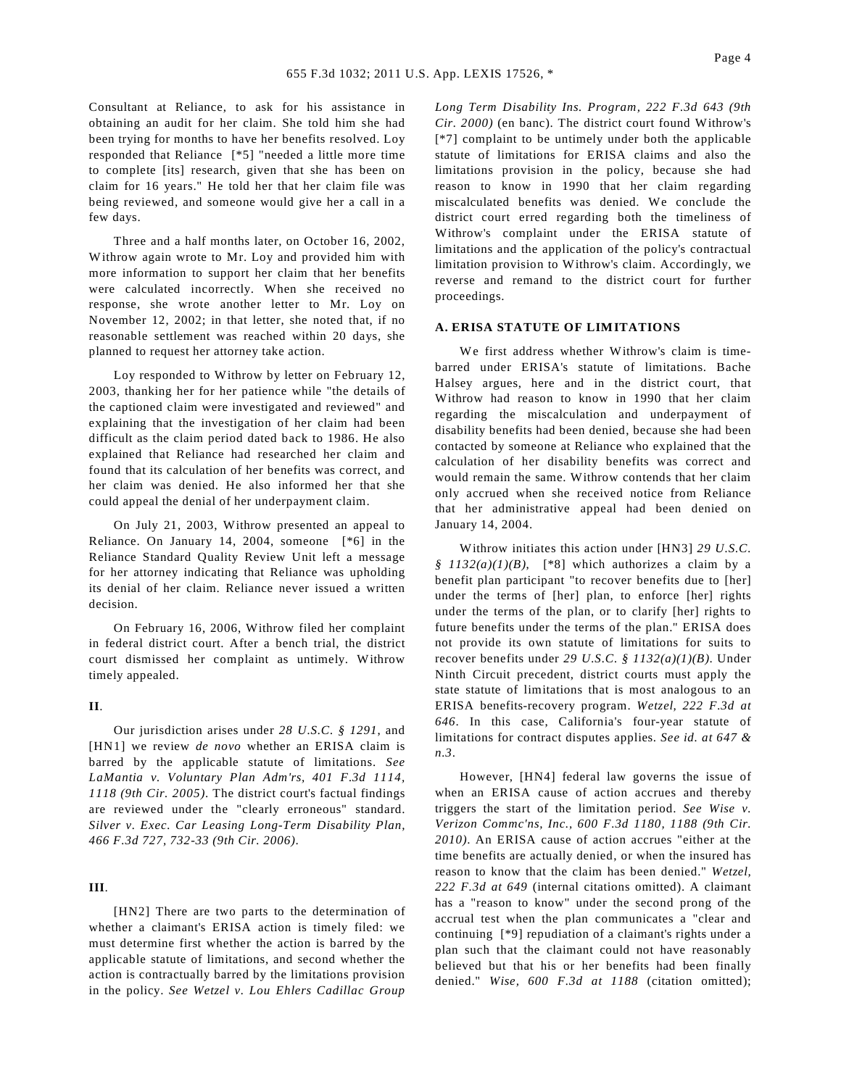Consultant at Reliance, to ask for his assistance in obtaining an audit for her claim. She told him she had been trying for months to have her benefits resolved. Loy responded that Reliance [\*5] "needed a little more time to complete [its] research, given that she has been on claim for 16 years." He told her that her claim file was being reviewed, and someone would give her a call in a few days.

Three and a half months later, on October 16, 2002, Withrow again wrote to Mr. Loy and provided him with more information to support her claim that her benefits were calculated incorrectly. When she received no response, she wrote another letter to Mr. Loy on November 12, 2002; in that letter, she noted that, if no reasonable settlement was reached within 20 days, she planned to request her attorney take action.

Loy responded to Withrow by letter on February 12, 2003, thanking her for her patience while "the details of the captioned claim were investigated and reviewed" and explaining that the investigation of her claim had been difficult as the claim period dated back to 1986. He also explained that Reliance had researched her claim and found that its calculation of her benefits was correct, and her claim was denied. He also informed her that she could appeal the denial of her underpayment claim.

On July 21, 2003, Withrow presented an appeal to Reliance. On January 14, 2004, someone [\*6] in the Reliance Standard Quality Review Unit left a message for her attorney indicating that Reliance was upholding its denial of her claim. Reliance never issued a written decision.

On February 16, 2006, Withrow filed her complaint in federal district court. After a bench trial, the district court dismissed her complaint as untimely. Withrow timely appealed.

#### **II**.

Our jurisdiction arises under *28 U.S.C. § 1291*, and [HN1] we review *de novo* whether an ERISA claim is barred by the applicable statute of limitations. *See LaMantia v. Voluntary Plan Adm'rs, 401 F.3d 1114, 1118 (9th Cir. 2005)*. The district court's factual findings are reviewed under the "clearly erroneous" standard. *Silver v. Exec. Car Leasing Long-Term Disability Plan, 466 F.3d 727, 732-33 (9th Cir. 2006)*.

# **III**.

[HN2] There are two parts to the determination of whether a claimant's ERISA action is timely filed: we must determine first whether the action is barred by the applicable statute of limitations, and second whether the action is contractually barred by the limitations provision in the policy. *See Wetzel v. Lou Ehlers Cadillac Group* *Long Term Disability Ins. Program, 222 F.3d 643 (9th Cir. 2000)* (en banc). The district court found Withrow's [\*7] complaint to be untimely under both the applicable statute of limitations for ERISA claims and also the limitations provision in the policy, because she had reason to know in 1990 that her claim regarding miscalculated benefits was denied. We conclude the district court erred regarding both the timeliness of Withrow's complaint under the ERISA statute of limitations and the application of the policy's contractual limitation provision to Withrow's claim. Accordingly, we reverse and remand to the district court for further proceedings.

### **A. ERISA STATUTE OF LIMITATIONS**

We first address whether Withrow's claim is timebarred under ERISA's statute of limitations. Bache Halsey argues, here and in the district court, that Withrow had reason to know in 1990 that her claim regarding the miscalculation and underpayment of disability benefits had been denied, because she had been contacted by someone at Reliance who explained that the calculation of her disability benefits was correct and would remain the same. Withrow contends that her claim only accrued when she received notice from Reliance that her administrative appeal had been denied on January 14, 2004.

Withrow initiates this action under [HN3] *29 U.S.C. § 1132(a)(1)(B)*, [\*8] which authorizes a claim by a benefit plan participant "to recover benefits due to [her] under the terms of [her] plan, to enforce [her] rights under the terms of the plan, or to clarify [her] rights to future benefits under the terms of the plan." ERISA does not provide its own statute of limitations for suits to recover benefits under *29 U.S.C. § 1132(a)(1)(B)*. Under Ninth Circuit precedent, district courts must apply the state statute of limitations that is most analogous to an ERISA benefits-recovery program. *Wetzel, 222 F.3d at 646*. In this case, California's four-year statute of limitations for contract disputes applies. *See id. at 647 & n.3*.

However, [HN4] federal law governs the issue of when an ERISA cause of action accrues and thereby triggers the start of the limitation period. *See Wise v. Verizon Commc'ns, Inc., 600 F.3d 1180, 1188 (9th Cir. 2010)*. An ERISA cause of action accrues "either at the time benefits are actually denied, or when the insured has reason to know that the claim has been denied." *Wetzel, 222 F.3d at 649* (internal citations omitted). A claimant has a "reason to know" under the second prong of the accrual test when the plan communicates a "clear and continuing [\*9] repudiation of a claimant's rights under a plan such that the claimant could not have reasonably believed but that his or her benefits had been finally denied." *Wise, 600 F.3d at 1188* (citation omitted);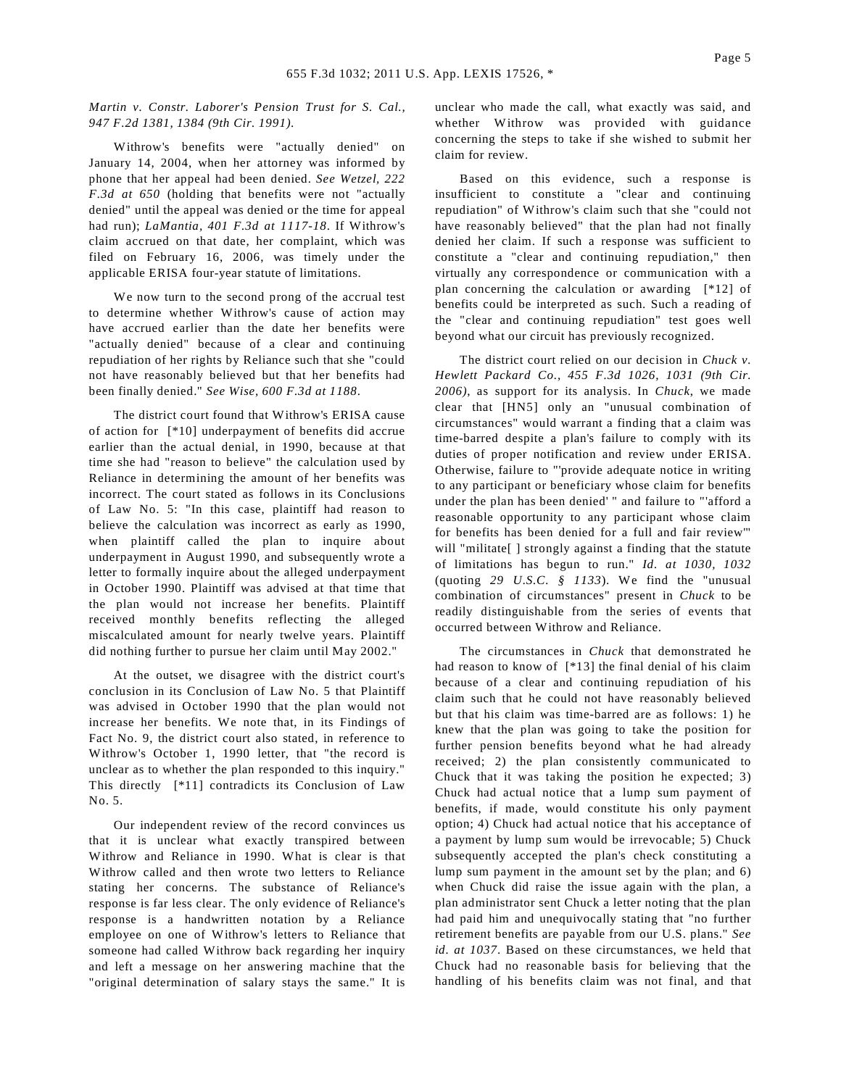### *Martin v. Constr. Laborer's Pension Trust for S. Cal., 947 F.2d 1381, 1384 (9th Cir. 1991)*.

Withrow's benefits were "actually denied" on January 14, 2004, when her attorney was informed by phone that her appeal had been denied. *See Wetzel, 222 F.3d at 650* (holding that benefits were not "actually denied" until the appeal was denied or the time for appeal had run); *LaMantia, 401 F.3d at 1117-18*. If Withrow's claim accrued on that date, her complaint, which was filed on February 16, 2006, was timely under the applicable ERISA four-year statute of limitations.

We now turn to the second prong of the accrual test to determine whether Withrow's cause of action may have accrued earlier than the date her benefits were "actually denied" because of a clear and continuing repudiation of her rights by Reliance such that she "could not have reasonably believed but that her benefits had been finally denied." *See Wise, 600 F.3d at 1188*.

The district court found that Withrow's ERISA cause of action for [\*10] underpayment of benefits did accrue earlier than the actual denial, in 1990, because at that time she had "reason to believe" the calculation used by Reliance in determining the amount of her benefits was incorrect. The court stated as follows in its Conclusions of Law No. 5: "In this case, plaintiff had reason to believe the calculation was incorrect as early as 1990, when plaintiff called the plan to inquire about underpayment in August 1990, and subsequently wrote a letter to formally inquire about the alleged underpayment in October 1990. Plaintiff was advised at that time that the plan would not increase her benefits. Plaintiff received monthly benefits reflecting the alleged miscalculated amount for nearly twelve years. Plaintiff did nothing further to pursue her claim until May 2002."

At the outset, we disagree with the district court's conclusion in its Conclusion of Law No. 5 that Plaintiff was advised in October 1990 that the plan would not increase her benefits. We note that, in its Findings of Fact No. 9, the district court also stated, in reference to Withrow's October 1, 1990 letter, that "the record is unclear as to whether the plan responded to this inquiry." This directly [\*11] contradicts its Conclusion of Law No. 5.

Our independent review of the record convinces us that it is unclear what exactly transpired between Withrow and Reliance in 1990. What is clear is that Withrow called and then wrote two letters to Reliance stating her concerns. The substance of Reliance's response is far less clear. The only evidence of Reliance's response is a handwritten notation by a Reliance employee on one of Withrow's letters to Reliance that someone had called Withrow back regarding her inquiry and left a message on her answering machine that the "original determination of salary stays the same." It is unclear who made the call, what exactly was said, and whether Withrow was provided with guidance concerning the steps to take if she wished to submit her claim for review.

Based on this evidence, such a response is insufficient to constitute a "clear and continuing repudiation" of Withrow's claim such that she "could not have reasonably believed" that the plan had not finally denied her claim. If such a response was sufficient to constitute a "clear and continuing repudiation," then virtually any correspondence or communication with a plan concerning the calculation or awarding [\*12] of benefits could be interpreted as such. Such a reading of the "clear and continuing repudiation" test goes well beyond what our circuit has previously recognized.

The district court relied on our decision in *Chuck v. Hewlett Packard Co., 455 F.3d 1026, 1031 (9th Cir. 2006)*, as support for its analysis. In *Chuck*, we made clear that [HN5] only an "unusual combination of circumstances" would warrant a finding that a claim was time-barred despite a plan's failure to comply with its duties of proper notification and review under ERISA. Otherwise, failure to "'provide adequate notice in writing to any participant or beneficiary whose claim for benefits under the plan has been denied' " and failure to "'afford a reasonable opportunity to any participant whose claim for benefits has been denied for a full and fair review'" will "militate[] strongly against a finding that the statute of limitations has begun to run." *Id. at 1030, 1032* (quoting *29 U.S.C. § 1133*). We find the "unusual combination of circumstances" present in *Chuck* to be readily distinguishable from the series of events that occurred between Withrow and Reliance.

The circumstances in *Chuck* that demonstrated he had reason to know of [\*13] the final denial of his claim because of a clear and continuing repudiation of his claim such that he could not have reasonably believed but that his claim was time-barred are as follows: 1) he knew that the plan was going to take the position for further pension benefits beyond what he had already received; 2) the plan consistently communicated to Chuck that it was taking the position he expected; 3) Chuck had actual notice that a lump sum payment of benefits, if made, would constitute his only payment option; 4) Chuck had actual notice that his acceptance of a payment by lump sum would be irrevocable; 5) Chuck subsequently accepted the plan's check constituting a lump sum payment in the amount set by the plan; and 6) when Chuck did raise the issue again with the plan, a plan administrator sent Chuck a letter noting that the plan had paid him and unequivocally stating that "no further retirement benefits are payable from our U.S. plans." *See id. at 1037*. Based on these circumstances, we held that Chuck had no reasonable basis for believing that the handling of his benefits claim was not final, and that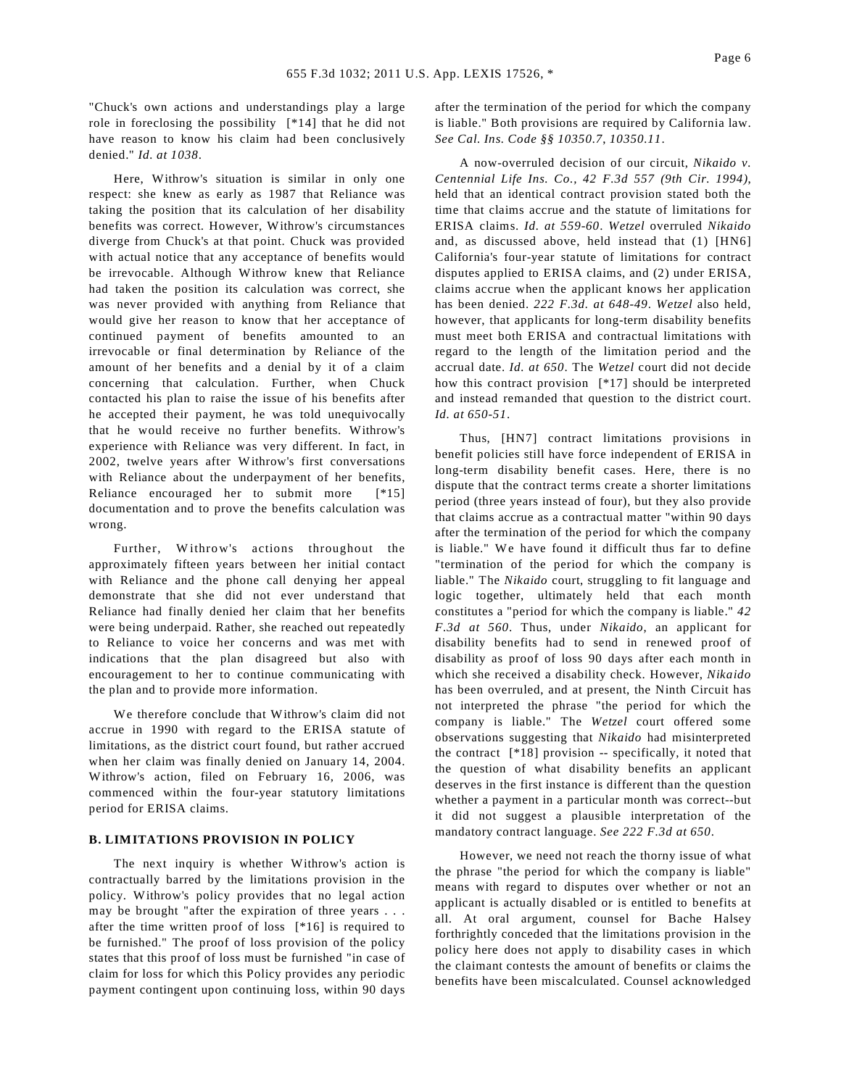"Chuck's own actions and understandings play a large role in foreclosing the possibility [\*14] that he did not have reason to know his claim had been conclusively denied." *Id. at 1038*.

Here, Withrow's situation is similar in only one respect: she knew as early as 1987 that Reliance was taking the position that its calculation of her disability benefits was correct. However, Withrow's circumstances diverge from Chuck's at that point. Chuck was provided with actual notice that any acceptance of benefits would be irrevocable. Although Withrow knew that Reliance had taken the position its calculation was correct, she was never provided with anything from Reliance that would give her reason to know that her acceptance of continued payment of benefits amounted to an irrevocable or final determination by Reliance of the amount of her benefits and a denial by it of a claim concerning that calculation. Further, when Chuck contacted his plan to raise the issue of his benefits after he accepted their payment, he was told unequivocally that he would receive no further benefits. Withrow's experience with Reliance was very different. In fact, in 2002, twelve years after Withrow's first conversations with Reliance about the underpayment of her benefits, Reliance encouraged her to submit more [\*15] documentation and to prove the benefits calculation was wrong.

Further, Withrow's actions throughout the approximately fifteen years between her initial contact with Reliance and the phone call denying her appeal demonstrate that she did not ever understand that Reliance had finally denied her claim that her benefits were being underpaid. Rather, she reached out repeatedly to Reliance to voice her concerns and was met with indications that the plan disagreed but also with encouragement to her to continue communicating with the plan and to provide more information.

We therefore conclude that Withrow's claim did not accrue in 1990 with regard to the ERISA statute of limitations, as the district court found, but rather accrued when her claim was finally denied on January 14, 2004. Withrow's action, filed on February 16, 2006, was commenced within the four-year statutory limitations period for ERISA claims.

#### **B. LIMITATIONS PROVISION IN POLICY**

The next inquiry is whether Withrow's action is contractually barred by the limitations provision in the policy. Withrow's policy provides that no legal action may be brought "after the expiration of three years . . . after the time written proof of loss [\*16] is required to be furnished." The proof of loss provision of the policy states that this proof of loss must be furnished "in case of claim for loss for which this Policy provides any periodic payment contingent upon continuing loss, within 90 days after the termination of the period for which the company is liable." Both provisions are required by California law. *See Cal. Ins. Code §§ 10350.7*, *10350.11*.

A now-overruled decision of our circuit, *Nikaido v. Centennial Life Ins. Co., 42 F.3d 557 (9th Cir. 1994)*, held that an identical contract provision stated both the time that claims accrue and the statute of limitations for ERISA claims. *Id. at 559-60*. *Wetzel* overruled *Nikaido* and, as discussed above, held instead that (1) [HN6] California's four-year statute of limitations for contract disputes applied to ERISA claims, and (2) under ERISA, claims accrue when the applicant knows her application has been denied. *222 F.3d. at 648-49*. *Wetzel* also held, however, that applicants for long-term disability benefits must meet both ERISA and contractual limitations with regard to the length of the limitation period and the accrual date. *Id. at 650*. The *Wetzel* court did not decide how this contract provision [\*17] should be interpreted and instead remanded that question to the district court. *Id. at 650-51*.

Thus, [HN7] contract limitations provisions in benefit policies still have force independent of ERISA in long-term disability benefit cases. Here, there is no dispute that the contract terms create a shorter limitations period (three years instead of four), but they also provide that claims accrue as a contractual matter "within 90 days after the termination of the period for which the company is liable." We have found it difficult thus far to define "termination of the period for which the company is liable." The *Nikaido* court, struggling to fit language and logic together, ultimately held that each month constitutes a "period for which the company is liable." *42 F.3d at 560*. Thus, under *Nikaido*, an applicant for disability benefits had to send in renewed proof of disability as proof of loss 90 days after each month in which she received a disability check. However, *Nikaido* has been overruled, and at present, the Ninth Circuit has not interpreted the phrase "the period for which the company is liable." The *Wetzel* court offered some observations suggesting that *Nikaido* had misinterpreted the contract [\*18] provision -- specifically, it noted that the question of what disability benefits an applicant deserves in the first instance is different than the question whether a payment in a particular month was correct--but it did not suggest a plausible interpretation of the mandatory contract language. *See 222 F.3d at 650*.

However, we need not reach the thorny issue of what the phrase "the period for which the company is liable" means with regard to disputes over whether or not an applicant is actually disabled or is entitled to benefits at all. At oral argument, counsel for Bache Halsey forthrightly conceded that the limitations provision in the policy here does not apply to disability cases in which the claimant contests the amount of benefits or claims the benefits have been miscalculated. Counsel acknowledged